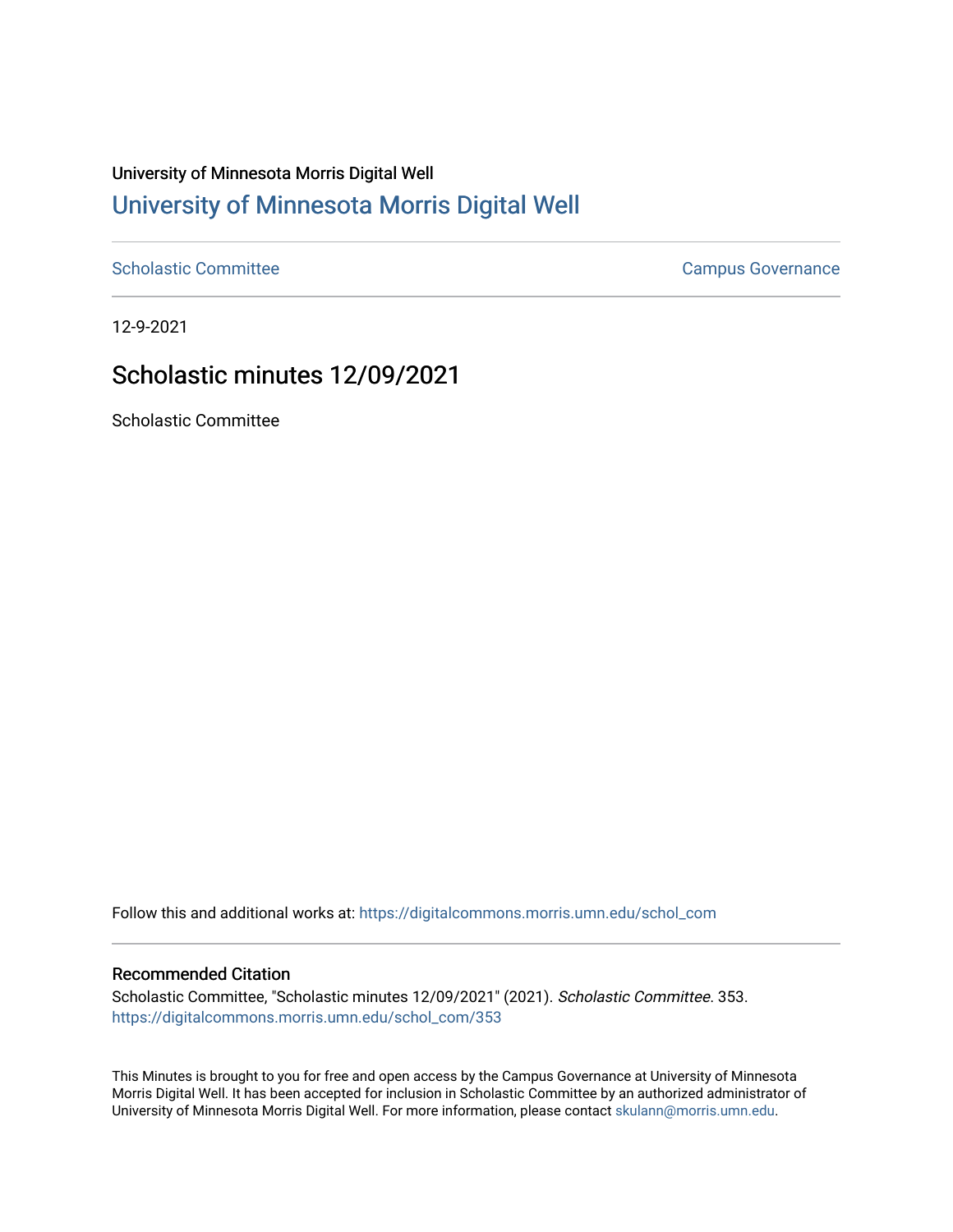# University of Minnesota Morris Digital Well [University of Minnesota Morris Digital Well](https://digitalcommons.morris.umn.edu/)

[Scholastic Committee](https://digitalcommons.morris.umn.edu/schol_com) [Campus Governance](https://digitalcommons.morris.umn.edu/campgov) Campus Governance

12-9-2021

## Scholastic minutes 12/09/2021

Scholastic Committee

Follow this and additional works at: [https://digitalcommons.morris.umn.edu/schol\\_com](https://digitalcommons.morris.umn.edu/schol_com?utm_source=digitalcommons.morris.umn.edu%2Fschol_com%2F353&utm_medium=PDF&utm_campaign=PDFCoverPages) 

#### Recommended Citation

Scholastic Committee, "Scholastic minutes 12/09/2021" (2021). Scholastic Committee. 353. [https://digitalcommons.morris.umn.edu/schol\\_com/353](https://digitalcommons.morris.umn.edu/schol_com/353?utm_source=digitalcommons.morris.umn.edu%2Fschol_com%2F353&utm_medium=PDF&utm_campaign=PDFCoverPages) 

This Minutes is brought to you for free and open access by the Campus Governance at University of Minnesota Morris Digital Well. It has been accepted for inclusion in Scholastic Committee by an authorized administrator of University of Minnesota Morris Digital Well. For more information, please contact [skulann@morris.umn.edu](mailto:skulann@morris.umn.edu).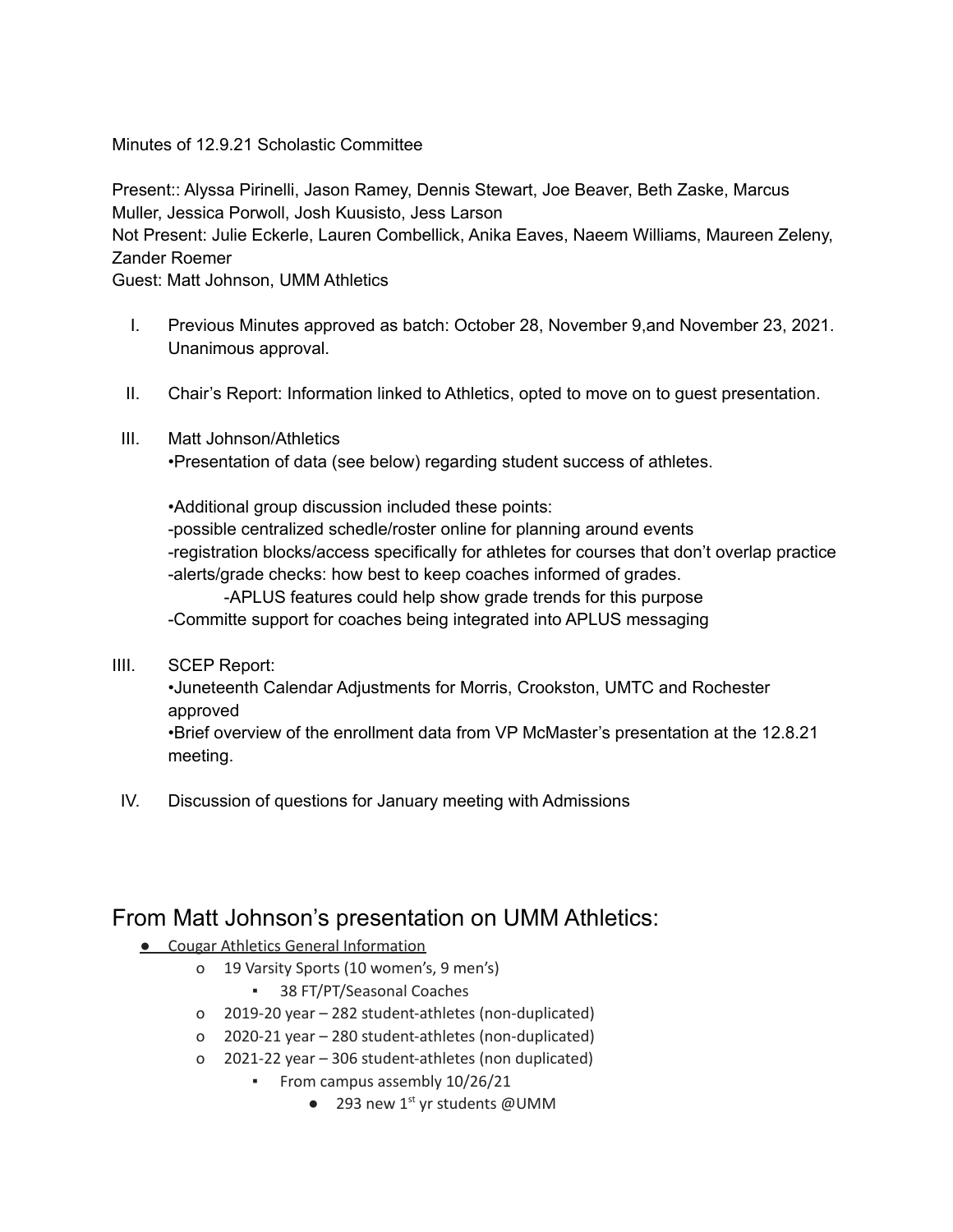### Minutes of 12.9.21 Scholastic Committee

Present:: Alyssa Pirinelli, Jason Ramey, Dennis Stewart, Joe Beaver, Beth Zaske, Marcus Muller, Jessica Porwoll, Josh Kuusisto, Jess Larson Not Present: Julie Eckerle, Lauren Combellick, Anika Eaves, Naeem Williams, Maureen Zeleny, Zander Roemer Guest: Matt Johnson, UMM Athletics

- I. Previous Minutes approved as batch: October 28, November 9,and November 23, 2021. Unanimous approval.
- II. Chair's Report: Information linked to Athletics, opted to move on to guest presentation.
- III. Matt Johnson/Athletics

•Presentation of data (see below) regarding student success of athletes.

•Additional group discussion included these points: -possible centralized schedle/roster online for planning around events -registration blocks/access specifically for athletes for courses that don't overlap practice -alerts/grade checks: how best to keep coaches informed of grades.

-APLUS features could help show grade trends for this purpose -Committe support for coaches being integrated into APLUS messaging

IIII. SCEP Report:

•Juneteenth Calendar Adjustments for Morris, Crookston, UMTC and Rochester approved

•Brief overview of the enrollment data from VP McMaster's presentation at the 12.8.21 meeting.

IV. Discussion of questions for January meeting with Admissions

### From Matt Johnson's presentation on UMM Athletics:

- **Cougar Athletics General Information** 
	- o 19 Varsity Sports (10 women's, 9 men's)
		- 38 FT/PT/Seasonal Coaches
	- o 2019-20 year 282 student-athletes (non-duplicated)
	- o 2020-21 year 280 student-athletes (non-duplicated)
	- o 2021-22 year 306 student-athletes (non duplicated)
		- **•** From campus assembly 10/26/21
			- $\bullet$  293 new 1<sup>st</sup> yr students @UMM